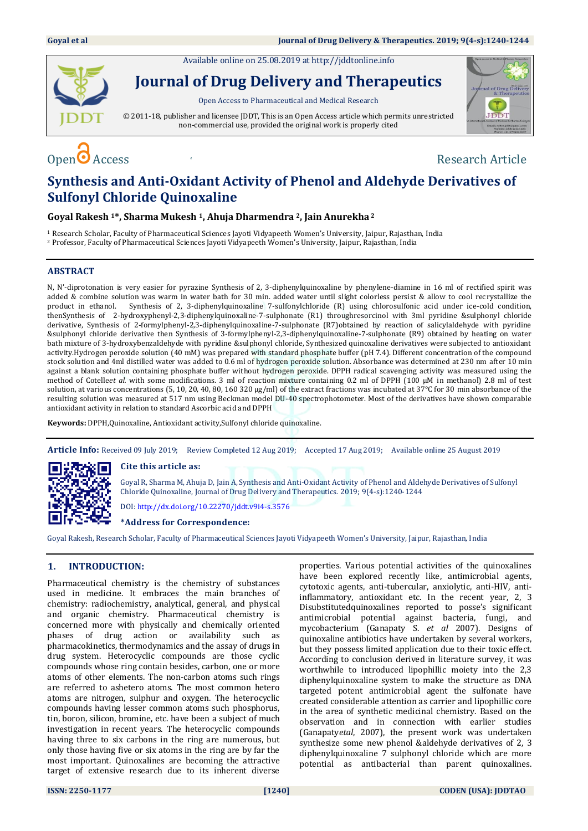Available online on 25.08.2019 at [http://jddtonline.info](http://jddtonline.info/)



**Journal of Drug Delivery and Therapeutics**

Open Access to Pharmaceutical and Medical Research

© 2011-18, publisher and licensee JDDT, This is an Open Access article which permits unrestricted non-commercial use, provided the original work is properly cited



# $\Omega$  Access  $\Omega$  Access  $\Omega$  and  $\Omega$  are  $\Omega$  and  $\Omega$  are  $\Omega$  are  $\Omega$  are  $\Omega$  are  $\Omega$  are  $\Omega$  and  $\Omega$  are  $\Omega$  and  $\Omega$  are  $\Omega$  and  $\Omega$  are  $\Omega$  and  $\Omega$  are  $\Omega$  and  $\Omega$  are  $\Omega$  and  $\Omega$  are  $\Omega$  and  $\Omega$  are

## **Synthesis and Anti-Oxidant Activity of Phenol and Aldehyde Derivatives of Sulfonyl Chloride Quinoxaline**

**Goyal Rakesh 1\*, Sharma Mukesh 1, Ahuja Dharmendra 2, Jain Anurekha <sup>2</sup>**

<sup>1</sup> Research Scholar, Faculty of Pharmaceutical Sciences Jayoti Vidyapeeth Women's University, Jaipur, Rajasthan, India <sup>2</sup> Professor, Faculty of Pharmaceutical Sciences Jayoti Vidyapeeth Women's University, Jaipur, Rajasthan, India

#### **ABSTRACT**

N, N'-diprotonation is very easier for pyrazine Synthesis of 2, 3-diphenylquinoxaline by phenylene-diamine in 16 ml of rectified spirit was added & combine solution was warm in water bath for 30 min. added water until slight colorless persist & allow to cool recrystallize the product in ethanol. Synthesis of 2, 3-diphenylquinoxaline 7-sulfonylchloride (R) using chlorosulfonic acid under ice-cold condition, thenSynthesis of 2-hydroxyphenyl-2,3-diphenylquinoxaline-7-sulphonate (R1) throughresorcinol with 3ml pyridine &sulphonyl chloride derivative, Synthesis of 2-formylphenyl-2,3-diphenylquinoxaline-7-sulphonate (R7)obtained by reaction of salicylaldehyde with pyridine &sulphonyl chloride derivative then Synthesis of 3-formylphenyl-2,3-diphenylquinoxaline-7-sulphonate (R9) obtained by heating on water bath mixture of 3-hydroxybenzaldehyde with pyridine &sulphonyl chloride, Synthesized quinoxaline derivatives were subjected to antioxidant activity.Hydrogen peroxide solution (40 mM) was prepared with standard phosphate buffer (pH 7.4). Different concentration of the compound stock solution and 4ml distilled water was added to 0.6 ml of hydrogen peroxide solution. Absorbance was determined at 230 nm after 10 min against a blank solution containing phosphate buffer without hydrogen peroxide. DPPH radical scavenging activity was measured using the method of Cotelle*et al.* with some modifications. 3 ml of reaction mixture containing 0.2 ml of DPPH (100 μM in methanol) 2.8 ml of test solution, at various concentrations (5, 10, 20, 40, 80, 160 320 μg/ml) of the extract fractions was incubated at 37°C for 30 min absorbance of the resulting solution was measured at 517 nm using Beckman model DU-40 spectrophotometer. Most of the derivatives have shown comparable antioxidant activity in relation to standard Ascorbic acid and DPPH

**Keywords:** DPPH,Quinoxaline, Antioxidant activity,Sulfonyl chloride quinoxaline.

**Article Info:** Received 09 July 2019; Review Completed 12 Aug 2019; Accepted 17 Aug 2019; Available online 25 August 2019



#### **Cite this article as:**

Goyal R, Sharma M, Ahuja D, Jain A, Synthesis and Anti-Oxidant Activity of Phenol and Aldehyde Derivatives of Sulfonyl Chloride Quinoxaline, Journal of Drug Delivery and Therapeutics. 2019; 9(4-s):1240-1244

DOI[: http://dx.doi.org/10.22270/jddt.v9i4-s.3576](http://dx.doi.org/10.22270/jddt.v9i4-s.3576)

#### **\*Address for Correspondence:**

Goyal Rakesh, Research Scholar, Faculty of Pharmaceutical Sciences Jayoti Vidyapeeth Women's University, Jaipur, Rajasthan, India

#### **1. INTRODUCTION:**

Pharmaceutical chemistry is the chemistry of substances used in medicine. It embraces the main branches of chemistry: radiochemistry, analytical, general, and physical and organic chemistry. Pharmaceutical chemistry is concerned more with physically and chemically oriented phases of drug action or availability such as pharmacokinetics, thermodynamics and the assay of drugs in drug system. Heterocyclic compounds are those cyclic compounds whose ring contain besides, carbon, one or more atoms of other elements. The non-carbon atoms such rings are referred to ashetero atoms. The most common hetero atoms are nitrogen, sulphur and oxygen. The heterocyclic compounds having lesser common atoms such phosphorus, tin, boron, silicon, bromine, etc. have been a subject of much investigation in recent years. The heterocyclic compounds having three to six carbons in the ring are numerous, but only those having five or six atoms in the ring are by far the most important. Quinoxalines are becoming the attractive target of extensive research due to its inherent diverse

properties. Various potential activities of the quinoxalines have been explored recently like, antimicrobial agents, cytotoxic agents, anti-tubercular, anxiolytic, anti-HIV, antiinflammatory, antioxidant etc. In the recent year, 2, 3 Disubstitutedquinoxalines reported to posse's significant antimicrobial potential against bacteria, fungi, and mycobacterium (Ganapaty S. *et al* 2007). Designs of quinoxaline antibiotics have undertaken by several workers, but they possess limited application due to their toxic effect. According to conclusion derived in literature survey, it was worthwhile to introduced lipophillic moiety into the 2,3 diphenylquinoxaline system to make the structure as DNA targeted potent antimicrobial agent the sulfonate have created considerable attention as carrier and lipophillic core in the area of synthetic medicinal chemistry. Based on the observation and in connection with earlier studies (Ganapaty*etal*, 2007), the present work was undertaken synthesize some new phenol &aldehyde derivatives of 2, 3 diphenylquinoxaline 7 sulphonyl chloride which are more potential as antibacterial than parent quinoxalines.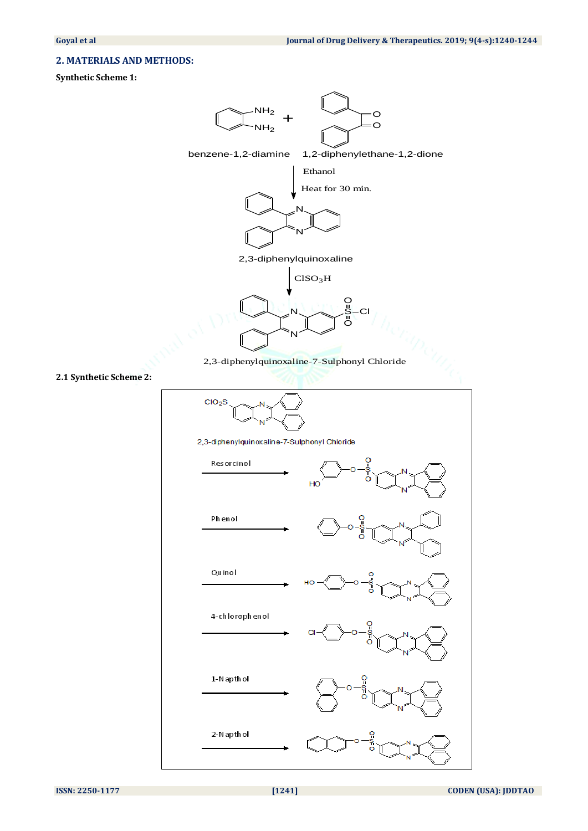### **2. MATERIALS AND METHODS:**

#### **Synthetic Scheme 1:**

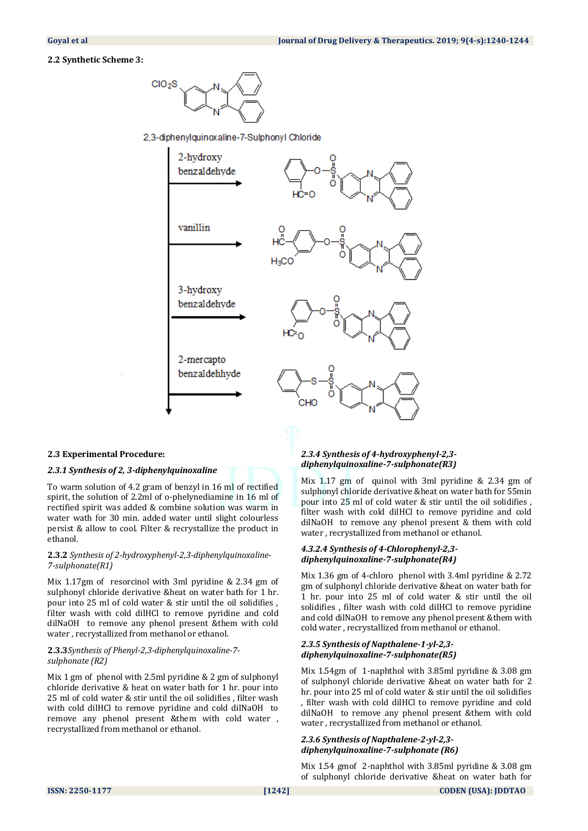#### **2.2 Synthetic Scheme 3:**



2,3-diphenylquinoxaline-7-Sulphonyl Chloride



#### **2.3 Experimental Procedure:**

#### *2.3.1 Synthesis of 2, 3-diphenylquinoxaline*

To warm solution of 4.2 gram of benzyl in 16 ml of rectified spirit, the solution of 2.2ml of o-phelynediamine in 16 ml of rectified spirit was added & combine solution was warm in water wath for 30 min. added water until slight colourless persist & allow to cool. Filter & recrystallize the product in ethanol.

#### **2.3.2** *Synthesis of 2-hydroxyphenyl-2,3-diphenylquinoxaline-7-sulphonate(R1)*

Mix 1.17gm of resorcinol with 3ml pyridine & 2.34 gm of sulphonyl chloride derivative &heat on water bath for 1 hr. pour into 25 ml of cold water & stir until the oil solidifies , filter wash with cold dilHCl to remove pyridine and cold dilNaOH to remove any phenol present &them with cold water , recrystallized from methanol or ethanol.

#### **2.3.3***Synthesis of Phenyl-2,3-diphenylquinoxaline-7 sulphonate (R2)*

Mix 1 gm of phenol with 2.5ml pyridine & 2 gm of sulphonyl chloride derivative & heat on water bath for 1 hr. pour into 25 ml of cold water & stir until the oil solidifies , filter wash with cold dilHCl to remove pyridine and cold dilNaOH to remove any phenol present &them with cold water , recrystallized from methanol or ethanol.

#### *2.3.4 Synthesis of 4-hydroxyphenyl-2,3 diphenylquinoxaline-7-sulphonate(R3)*

Mix 1.17 gm of quinol with 3ml pyridine & 2.34 gm of sulphonyl chloride derivative &heat on water bath for 55min pour into 25 ml of cold water & stir until the oil solidifies , filter wash with cold dilHCl to remove pyridine and cold dilNaOH to remove any phenol present & them with cold water , recrystallized from methanol or ethanol.

#### *4.3.2.4 Synthesis of 4-Chlorophenyl-2,3 diphenylquinoxaline-7-sulphonate(R4)*

Mix 1.36 gm of 4-chloro phenol with 3.4ml pyridine & 2.72 gm of sulphonyl chloride derivative &heat on water bath for 1 hr. pour into 25 ml of cold water & stir until the oil solidifies , filter wash with cold dilHCl to remove pyridine and cold dilNaOH to remove any phenol present &them with cold water , recrystallized from methanol or ethanol.

#### *2.3.5 Synthesis of Napthalene-1-yl-2,3 diphenylquinoxaline-7-sulphonate(R5)*

Mix 1.54gm of 1-naphthol with 3.85ml pyridine & 3.08 gm of sulphonyl chloride derivative &heat on water bath for 2 hr. pour into 25 ml of cold water & stir until the oil solidifies , filter wash with cold dilHCl to remove pyridine and cold dilNaOH to remove any phenol present &them with cold water , recrystallized from methanol or ethanol.

#### *2.3.6 Synthesis of Napthalene-2-yl-2,3 diphenylquinoxaline-7-sulphonate (R6)*

Mix 1.54 gmof 2-naphthol with 3.85ml pyridine & 3.08 gm of sulphonyl chloride derivative &heat on water bath for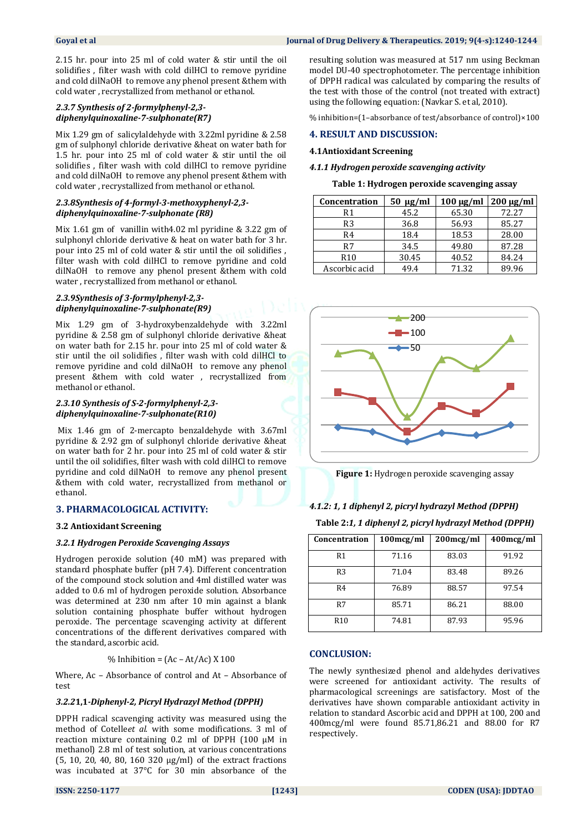2.15 hr. pour into 25 ml of cold water & stir until the oil solidifies , filter wash with cold dilHCl to remove pyridine and cold dilNaOH to remove any phenol present &them with cold water , recrystallized from methanol or ethanol.

#### *2.3.7 Synthesis of 2-formylphenyl-2,3 diphenylquinoxaline-7-sulphonate(R7)*

Mix 1.29 gm of salicylaldehyde with 3.22ml pyridine & 2.58 gm of sulphonyl chloride derivative &heat on water bath for 1.5 hr. pour into 25 ml of cold water & stir until the oil solidifies , filter wash with cold dilHCl to remove pyridine and cold dilNaOH to remove any phenol present &them with cold water , recrystallized from methanol or ethanol.

#### *2.3.8Synthesis of 4-formyl-3-methoxyphenyl-2,3 diphenylquinoxaline-7-sulphonate (R8)*

Mix 1.61 gm of vanillin with4.02 ml pyridine & 3.22 gm of sulphonyl chloride derivative & heat on water bath for 3 hr. pour into 25 ml of cold water & stir until the oil solidifies , filter wash with cold dilHCl to remove pyridine and cold dilNaOH to remove any phenol present &them with cold water , recrystallized from methanol or ethanol.

#### *2.3.9Synthesis of 3-formylphenyl-2,3 diphenylquinoxaline-7-sulphonate(R9)*

Mix 1.29 gm of 3-hydroxybenzaldehyde with 3.22ml pyridine & 2.58 gm of sulphonyl chloride derivative &heat on water bath for 2.15 hr. pour into 25 ml of cold water & stir until the oil solidifies , filter wash with cold dilHCl to remove pyridine and cold dilNaOH to remove any phenol present &them with cold water , recrystallized from methanol or ethanol.

#### *2.3.10 Synthesis of S-2-formylphenyl-2,3 diphenylquinoxaline-7-sulphonate(R10)*

Mix 1.46 gm of 2-mercapto benzaldehyde with 3.67ml pyridine & 2.92 gm of sulphonyl chloride derivative &heat on water bath for 2 hr. pour into 25 ml of cold water & stir until the oil solidifies, filter wash with cold dilHCl to remove pyridine and cold dilNaOH to remove any phenol present &them with cold water, recrystallized from methanol or ethanol.

#### **3. PHARMACOLOGICAL ACTIVITY:**

#### **3.2 Antioxidant Screening**

#### *3.2.1 Hydrogen Peroxide Scavenging Assays*

Hydrogen peroxide solution (40 mM) was prepared with standard phosphate buffer (pH 7.4). Different concentration of the compound stock solution and 4ml distilled water was added to 0.6 ml of hydrogen peroxide solution. Absorbance was determined at 230 nm after 10 min against a blank solution containing phosphate buffer without hydrogen peroxide. The percentage scavenging activity at different concentrations of the different derivatives compared with the standard, ascorbic acid.

#### % Inhibition =  $(Ac - At/Ac) X 100$

Where, Ac – Absorbance of control and At – Absorbance of test

#### *3.2.2***1,1***-Diphenyl-2, Picryl Hydrazyl Method (DPPH)*

DPPH radical scavenging activity was measured using the method of Cotelle*et al.* with some modifications. 3 ml of reaction mixture containing 0.2 ml of DPPH (100 μM in methanol) 2.8 ml of test solution, at various concentrations (5, 10, 20, 40, 80, 160 320 μg/ml) of the extract fractions was incubated at 37°C for 30 min absorbance of the

resulting solution was measured at 517 nm using Beckman model DU-40 spectrophotometer. The percentage inhibition of DPPH radical was calculated by comparing the results of the test with those of the control (not treated with extract) using the following equation: (Navkar S. et al, 2010).

% inhibition=(1–absorbance of test/absorbance of control)×100

#### **4. RESULT AND DISCUSSION:**

#### **4.1Antioxidant Screening**

#### *4.1.1 Hydrogen peroxide scavenging activity*

**Table 1: Hydrogen peroxide scavenging assay**

| Concentration   | $50 \text{ µg/ml}$ |       | $100 \mu g/ml$   $200 \mu g/ml$ |
|-----------------|--------------------|-------|---------------------------------|
| R1              | 45.2               | 65.30 | 72.27                           |
| R3              | 36.8               | 56.93 | 85.27                           |
| R4              | 18.4               | 18.53 | 28.00                           |
| R7              | 34.5               | 49.80 | 87.28                           |
| R <sub>10</sub> | 30.45              | 40.52 | 84.24                           |
| Ascorbic acid   | 49.4               | 71.32 | 89.96                           |



**Figure 1:** Hydrogen peroxide scavenging assay

#### *4.1.2: 1, 1 diphenyl 2, picryl hydrazyl Method (DPPH)*

**Table 2:***1, 1 diphenyl 2, picryl hydrazyl Method (DPPH)*

| Concentration   | $100$ mcg/ml | $200$ mcg/ml | 400mcg/ml |
|-----------------|--------------|--------------|-----------|
| R <sub>1</sub>  | 71.16        | 83.03        | 91.92     |
| R <sub>3</sub>  | 71.04        | 83.48        | 89.26     |
| R4              | 76.89        | 88.57        | 97.54     |
| R7              | 85.71        | 86.21        | 88.00     |
| R <sub>10</sub> | 74.81        | 87.93        | 95.96     |

#### **CONCLUSION:**

The newly synthesized phenol and aldehydes derivatives were screened for antioxidant activity. The results of pharmacological screenings are satisfactory. Most of the derivatives have shown comparable antioxidant activity in relation to standard Ascorbic acid and DPPH at 100, 200 and 400mcg/ml were found 85.71,86.21 and 88.00 for R7 respectively.